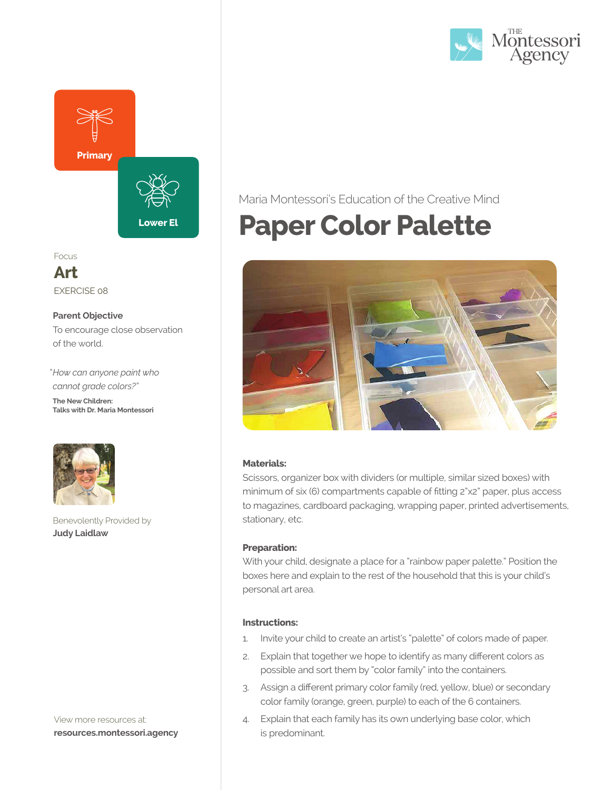



Focus

**Art** EXERCISE 08

#### **Parent Objective**

To encourage close observation of the world.

"*How can anyone paint who cannot grade colors?"*  **The New Children: Talks with Dr. Maria Montessori**



Benevolently Provided by **Judy Laidlaw**

View more resources at: **resources.montessori.agency**

## Maria Montessori's Education of the Creative Mind

## **Paper Color Palette**



#### **Materials:**

Scissors, organizer box with dividers (or multiple, similar sized boxes) with minimum of six (6) compartments capable of fitting 2"x2" paper, plus access to magazines, cardboard packaging, wrapping paper, printed advertisements, stationary, etc.

#### **Preparation:**

With your child, designate a place for a "rainbow paper palette." Position the boxes here and explain to the rest of the household that this is your child's personal art area.

#### **Instructions:**

- 1. Invite your child to create an artist's "palette" of colors made of paper.
- 2. Explain that together we hope to identify as many different colors as possible and sort them by "color family" into the containers.
- 3. Assign a different primary color family (red, yellow, blue) or secondary color family (orange, green, purple) to each of the 6 containers.
- 4. Explain that each family has its own underlying base color, which is predominant.